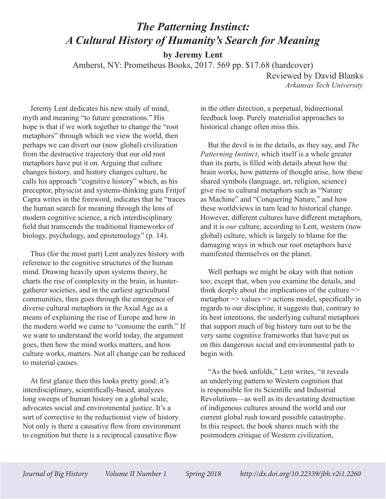## *The Patterning Instinct: A Cultural History of Humanity's Search for Meaning*

**by Jeremy Lent**

Amherst, NY: Prometheus Books, 2017. 569 pp. \$17.68 (hardcover)

Reviewed by David Blanks *Arkansas Tech University*

Jeremy Lent dedicates his new study of mind, myth and meaning "to future generations." His hope is that if we work together to change the "root metaphors" through which we view the world, then perhaps we can divert our (now global) civilization from the destructive trajectory that our old root metaphors have put it on. Arguing that culture changes history, and history changes culture, he calls his approach "cognitive history" which, as his preceptor, physicist and systems-thinking guru Fritjof Capra writes in the foreword, indicates that he "traces the human search for meaning through the lens of modern cognitive science, a rich interdisciplinary field that transcends the traditional frameworks of biology, psychology, and epistemology" (p. 14).

Thus (for the most part) Lent analyzes history with reference to the cognitive structures of the human mind. Drawing heavily upon systems theory, he charts the rise of complexity in the brain, in huntergatherer societies, and in the earliest agricultural communities, then goes through the emergence of diverse cultural metaphors in the Axial Age as a means of explaining the rise of Europe and how in the modern world we came to "consume the earth." If we want to understand the world today, the argument goes, then how the mind works matters, and how culture works, matters. Not all change can be reduced to material causes.

At first glance then this looks pretty good: it's interdisciplinary, scientifically-based, analyzes long sweeps of human history on a global scale, advocates social and environmental justice. It's a sort of corrective to the reductionist view of history. Not only is there a causative flow from environment to cognition but there is a reciprocal causative flow

in the other direction, a perpetual, bidirectional feedback loop. Purely materialist approaches to historical change often miss this.

But the devil is in the details, as they say, and *The Patterning Instinct*, which itself is a whole greater than its parts, is filled with details about how the brain works, how patterns of thought arise, how these shared symbols (language, art, religion, science) give rise to cultural metaphors such as "Nature as Machine" and "Conquering Nature," and how these worldviews in turn lead to historical change. However, different cultures have different metaphors, and it is *our* culture, according to Lent, western (now global) culture, which is largely to blame for the damaging ways in which our root metaphors have manifested themselves on the planet.

Well perhaps we might be okay with that notion too; except that, when you examine the details, and think deeply about the implications of the culture  $\Rightarrow$ metaphor  $\Rightarrow$  values  $\Rightarrow$  actions model, specifically in regards to our discipline, it suggests that, contrary to its best intentions, the underlying cultural metaphors that support much of big history turn out to be the very same cognitive frameworks that have put us on this dangerous social and environmental path to begin with.

"As the book unfolds," Lent writes, "it reveals an underlying pattern to Western cognition that is responsible for its Scientific and Industrial Revolutions—as well as its devastating destruction of indigenous cultures around the world and our current global rush toward possible catastrophe. In this respect, the book shares much with the postmodern critique of Western civilization,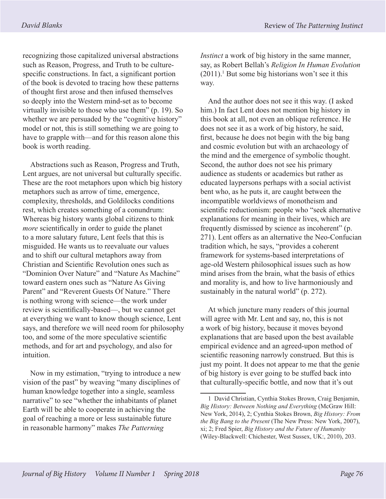recognizing those capitalized universal abstractions such as Reason, Progress, and Truth to be culturespecific constructions. In fact, a significant portion of the book is devoted to tracing how these patterns of thought first arose and then infused themselves so deeply into the Western mind-set as to become virtually invisible to those who use them" (p. 19). So whether we are persuaded by the "cognitive history" model or not, this is still something we are going to have to grapple with—and for this reason alone this book is worth reading.

Abstractions such as Reason, Progress and Truth, Lent argues, are not universal but culturally specific. These are the root metaphors upon which big history metaphors such as arrow of time, emergence, complexity, thresholds, and Goldilocks conditions rest, which creates something of a conundrum: Whereas big history wants global citizens to think *more* scientifically in order to guide the planet to a more salutary future, Lent feels that this is misguided. He wants us to reevaluate our values and to shift our cultural metaphors away from Christian and Scientific Revolution ones such as "Dominion Over Nature" and "Nature As Machine" toward eastern ones such as "Nature As Giving Parent" and "Reverent Guests Of Nature." There is nothing wrong with science—the work under review is scientifically-based—, but we cannot get at everything we want to know though science, Lent says, and therefore we will need room for philosophy too, and some of the more speculative scientific methods, and for art and psychology, and also for intuition.

Now in my estimation, "trying to introduce a new vision of the past" by weaving "many disciplines of human knowledge together into a single, seamless narrative" to see "whether the inhabitants of planet Earth will be able to cooperate in achieving the goal of reaching a more or less sustainable future in reasonable harmony" makes *The Patterning* 

*Instinct* a work of big history in the same manner, say, as Robert Bellah's *Religion In Human Evolution*  $(2011).<sup>1</sup>$  But some big historians won't see it this way.

And the author does not see it this way. (I asked him.) In fact Lent does not mention big history in this book at all, not even an oblique reference. He does not see it as a work of big history, he said, first, because he does not begin with the big bang and cosmic evolution but with an archaeology of the mind and the emergence of symbolic thought. Second, the author does not see his primary audience as students or academics but rather as educated laypersons perhaps with a social activist bent who, as he puts it, are caught between the incompatible worldviews of monotheism and scientific reductionism: people who "seek alternative explanations for meaning in their lives, which are frequently dismissed by science as incoherent" (p. 271). Lent offers as an alternative the Neo-Confucian tradition which, he says, "provides a coherent framework for systems-based interpretations of age-old Western philosophical issues such as how mind arises from the brain, what the basis of ethics and morality is, and how to live harmoniously and sustainably in the natural world" (p. 272).

At which juncture many readers of this journal will agree with Mr. Lent and say, no, this is not a work of big history, because it moves beyond explanations that are based upon the best available empirical evidence and an agreed-upon method of scientific reasoning narrowly construed. But this is just my point. It does not appear to me that the genie of big history is ever going to be stuffed back into that culturally-specific bottle, and now that it's out

<sup>1</sup> David Christian, Cynthia Stokes Brown, Craig Benjamin, *Big History: Between Nothing and Everything* (McGraw Hill: New York, 2014), 2; Cynthia Stokes Brown, *Big History: From the Big Bang to the Present* (The New Press: New York, 2007), xi; 2; Fred Spier, *Big History and the Future of Humanity* (Wiley-Blackwell: Chichester, West Sussex, UK:, 2010), 203.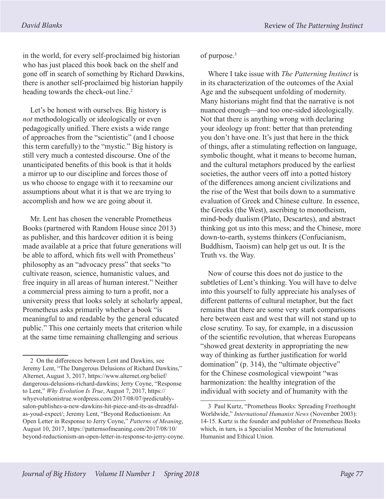in the world, for every self-proclaimed big historian who has just placed this book back on the shelf and gone off in search of something by Richard Dawkins, there is another self-proclaimed big historian happily heading towards the check-out line.<sup>2</sup>

Let's be honest with ourselves. Big history is *not* methodologically or ideologically or even pedagogically unified. There exists a wide range of approaches from the "scientistic" (and I choose this term carefully) to the "mystic." Big history is still very much a contested discourse. One of the unanticipated benefits of this book is that it holds a mirror up to our discipline and forces those of us who choose to engage with it to reexamine our assumptions about what it is that we are trying to accomplish and how we are going about it.

Mr. Lent has chosen the venerable Prometheus Books (partnered with Random House since 2013) as publisher, and this hardcover edition it is being made available at a price that future generations will be able to afford, which fits well with Prometheus' philosophy as an "advocacy press" that seeks "to cultivate reason, science, humanistic values, and free inquiry in all areas of human interest." Neither a commercial press aiming to turn a profit, nor a university press that looks solely at scholarly appeal, Prometheus asks primarily whether a book "is meaningful to and readable by the general educated public." This one certainly meets that criterion while at the same time remaining challenging and serious

of purpose.<sup>3</sup>

Where I take issue with *The Patterning Instinct* is in its characterization of the outcomes of the Axial Age and the subsequent unfolding of modernity. Many historians might find that the narrative is not nuanced enough—and too one-sided ideologically. Not that there is anything wrong with declaring your ideology up front: better that than pretending you don't have one. It's just that here in the thick of things, after a stimulating reflection on language, symbolic thought, what it means to become human, and the cultural metaphors produced by the earliest societies, the author veers off into a potted history of the differences among ancient civilizations and the rise of the West that boils down to a summative evaluation of Greek and Chinese culture. In essence, the Greeks (the West), ascribing to monotheism, mind-body dualism (Plato, Descartes), and abstract thinking got us into this mess; and the Chinese, more down-to-earth, systems thinkers (Confucianism, Buddhism, Taoism) can help get us out. It is the Truth vs. the Way.

Now of course this does not do justice to the subtleties of Lent's thinking. You will have to delve into this yourself to fully appreciate his analyses of different patterns of cultural metaphor, but the fact remains that there are some very stark comparisons here between east and west that will not stand up to close scrutiny. To say, for example, in a discussion of the scientific revolution, that whereas Europeans "showed great dexterity in appropriating the new way of thinking as further justification for world domination" (p. 314), the "ultimate objective" for the Chinese cosmological viewpoint "was harmonization: the healthy integration of the individual with society and of humanity with the

<sup>2</sup> On the differences between Lent and Dawkins, see Jeremy Lent, "The Dangerous Delusions of Richard Dawkins," Alternet, August 3, 2017, https://www.alternet.org/belief/ dangerous-delusions-richard-dawkins; Jerry Coyne, "Response to Lent," *Why Evolution Is True*, August 7, 2017, https:// whyevolutionistrue.wordpress.com/2017/08/07/predictablysalon-publishes-a-new-dawkins-hit-piece-and-its-as-dreadfulas-youd-expect/; Jeremy Lent, "Beyond Reductionism: An Open Letter in Response to Jerry Coyne," *Patterns of Meaning*, August 10, 2017, https://patternsofmeaning.com/2017/08/10/ beyond-reductionism-an-open-letter-in-response-to-jerry-coyne.

<sup>3</sup> Paul Kurtz, "Prometheus Books: Spreading Freethought Worldwide," *International Humanist News* (November 2003): 14-15. Kurtz is the founder and publisher of Prometheus Books which, in turn, is a Specialist Member of the International Humanist and Ethical Union.